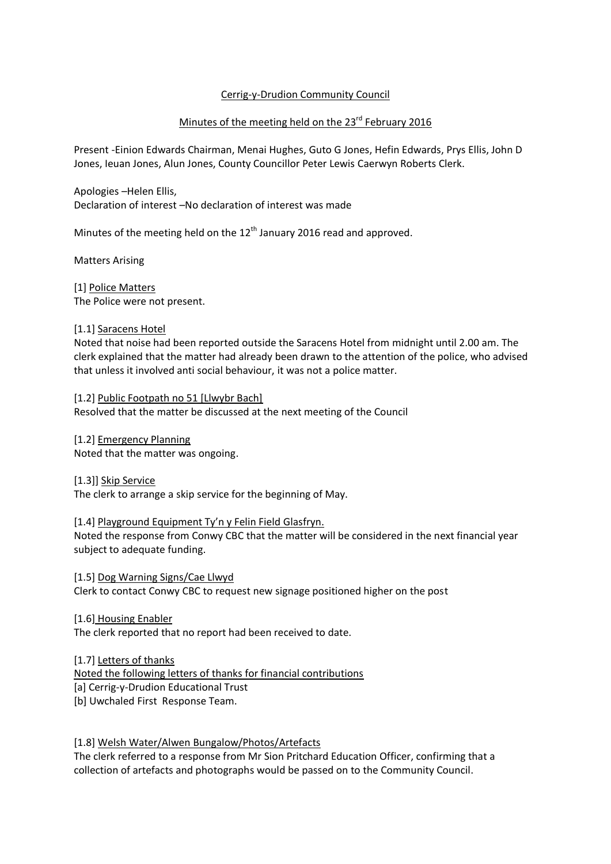# Cerrig-y-Drudion Community Council

## Minutes of the meeting held on the 23<sup>rd</sup> February 2016

Present -Einion Edwards Chairman, Menai Hughes, Guto G Jones, Hefin Edwards, Prys Ellis, John D Jones, Ieuan Jones, Alun Jones, County Councillor Peter Lewis Caerwyn Roberts Clerk.

Apologies –Helen Ellis, Declaration of interest –No declaration of interest was made

Minutes of the meeting held on the  $12<sup>th</sup>$  January 2016 read and approved.

Matters Arising

[1] Police Matters The Police were not present.

#### [1.1] Saracens Hotel

Noted that noise had been reported outside the Saracens Hotel from midnight until 2.00 am. The clerk explained that the matter had already been drawn to the attention of the police, who advised that unless it involved anti social behaviour, it was not a police matter.

[1.2] Public Footpath no 51 [Llwybr Bach] Resolved that the matter be discussed at the next meeting of the Council

[1.2] Emergency Planning Noted that the matter was ongoing.

[1.3]] Skip Service The clerk to arrange a skip service for the beginning of May.

#### [1.4] Playground Equipment Ty'n y Felin Field Glasfryn.

Noted the response from Conwy CBC that the matter will be considered in the next financial year subject to adequate funding.

[1.5] Dog Warning Signs/Cae Llwyd Clerk to contact Conwy CBC to request new signage positioned higher on the post

[1.6] Housing Enabler

The clerk reported that no report had been received to date.

[1.7] Letters of thanks

Noted the following letters of thanks for financial contributions

[a] Cerrig-y-Drudion Educational Trust

[b] Uwchaled First Response Team.

#### [1.8] Welsh Water/Alwen Bungalow/Photos/Artefacts

The clerk referred to a response from Mr Sion Pritchard Education Officer, confirming that a collection of artefacts and photographs would be passed on to the Community Council.